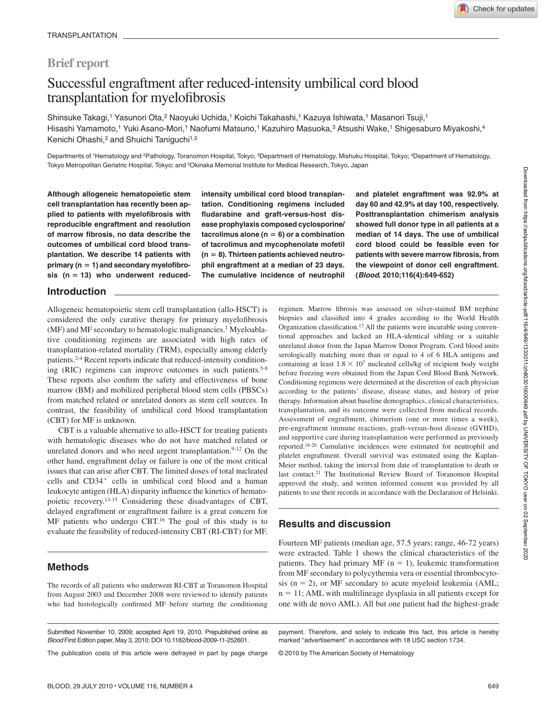# **Brief report**

# Successful engraftment after reduced-intensity umbilical cord blood transplantation for myelofibrosis

Shinsuke Takagi,<sup>1</sup> Yasunori Ota,<sup>2</sup> Naoyuki Uchida,<sup>1</sup> Koichi Takahashi,<sup>1</sup> Kazuya Ishiwata,<sup>1</sup> Masanori Tsuji,<sup>1</sup> Hisashi Yamamoto,<sup>1</sup> Yuki Asano-Mori,<sup>1</sup> Naofumi Matsuno,<sup>1</sup> Kazuhiro Masuoka,<sup>3</sup> Atsushi Wake,<sup>1</sup> Shigesaburo Miyakoshi,<sup>4</sup> Kenichi Ohashi,<sup>2</sup> and Shuichi Taniguchi<sup>1,5</sup>

Departments of 1Hematology and <sup>2</sup>Pathology, Toranomon Hospital, Tokyo; <sup>3</sup>Department of Hematology, Mishuku Hospital, Tokyo; <sup>4</sup>Department of Hematology, Tokyo Metropolitan Geriatric Hospital, Tokyo; and 5Okinaka Memorial Institute for Medical Research, Tokyo, Japan

**Although allogeneic hematopoietic stem cell transplantation has recently been applied to patients with myelofibrosis with reproducible engraftment and resolution of marrow fibrosis, no data describe the outcomes of umbilical cord blood transplantation. We describe 14 patients with primary (n 1) and secondary myelofibrosis (n 13) who underwent reduced-** **intensity umbilical cord blood transplantation. Conditioning regimens included fludarabine and graft-versus-host disease prophylaxis composed cyclosporine/**  $taccolimus alone (n = 6) or a combination$ **of tacrolimus and mycophenolate mofetil (n 8). Thirteen patients achieved neutrophil engraftment at a median of 23 days. The cumulative incidence of neutrophil** **and platelet engraftment was 92.9% at day 60 and 42.9% at day 100, respectively. Posttransplantation chimerism analysis showed full donor type in all patients at a median of 14 days. The use of umbilical cord blood could be feasible even for patients with severe marrow fibrosis, from the viewpoint of donor cell engraftment. (***Blood***. 2010;116(4):649-652)**

### **Introduction**

Allogeneic hematopoietic stem cell transplantation (allo-HSCT) is considered the only curative therapy for primary myelofibrosis (MF) and MF secondary to hematologic malignancies.<sup>1</sup> Myeloablative conditioning regimens are associated with high rates of transplantation-related mortality (TRM), especially among elderly patients.2-4 Recent reports indicate that reduced-intensity conditioning (RIC) regimens can improve outcomes in such patients.<sup>5-8</sup> These reports also confirm the safety and effectiveness of bone marrow (BM) and mobilized peripheral blood stem cells (PBSCs) from matched related or unrelated donors as stem cell sources. In contrast, the feasibility of umbilical cord blood transplantation (CBT) for MF is unknown.

CBT is a valuable alternative to allo-HSCT for treating patients with hematologic diseases who do not have matched related or unrelated donors and who need urgent transplantation.<sup>9-12</sup> On the other hand, engraftment delay or failure is one of the most critical issues that can arise after CBT. The limited doses of total nucleated cells and CD34<sup>+</sup> cells in umbilical cord blood and a human leukocyte antigen (HLA) disparity influence the kinetics of hematopoietic recovery.13-15 Considering these disadvantages of CBT, delayed engraftment or engraftment failure is a great concern for MF patients who undergo CBT.<sup>16</sup> The goal of this study is to evaluate the feasibility of reduced-intensity CBT (RI-CBT) for MF.

# **Methods**

The records of all patients who underwent RI-CBT at Toranomon Hospital from August 2003 and December 2008 were reviewed to identify patients who had histologically confirmed MF before starting the conditioning

Submitted November 10, 2009; accepted April 19, 2010. Prepublished online as *Blood* First Edition paper, May 3, 2010; DOI 10.1182/blood-2009-11-252601.

The publication costs of this article were defrayed in part by page charge

regimen. Marrow fibrosis was assessed on silver-stained BM trephine biopsies and classified into 4 grades according to the World Health Organization classification.17 All the patients were incurable using conventional approaches and lacked an HLA-identical sibling or a suitable unrelated donor from the Japan Marrow Donor Program. Cord blood units serologically matching more than or equal to 4 of 6 HLA antigens and containing at least  $1.8 \times 10^7$  nucleated cells/kg of recipient body weight before freezing were obtained from the Japan Cord Blood Bank Network. Conditioning regimens were determined at the discretion of each physician according to the patients' disease, disease status, and history of prior therapy. Information about baseline demographics, clinical characteristics, transplantation, and its outcome were collected from medical records. Assessment of engraftment, chimerism (one or more times a week), pre-engraftment immune reactions, graft-versus-host disease (GVHD), and supportive care during transplantation were performed as previously reported.18-20 Cumulative incidences were estimated for neutrophil and platelet engraftment. Overall survival was estimated using the Kaplan-Meier method, taking the interval from date of transplantation to death or last contact.<sup>21</sup> The Institutional Review Board of Toranomon Hospital approved the study, and written informed consent was provided by all patients to use their records in accordance with the Declaration of Helsinki.

# **Results and discussion**

Fourteen MF patients (median age, 57.5 years; range, 46-72 years) were extracted. Table 1 shows the clinical characteristics of the patients. They had primary MF  $(n = 1)$ , leukemic transformation from MF secondary to polycythemia vera or essential thrombocytosis  $(n = 2)$ , or MF secondary to acute myeloid leukemia (AML;  $n = 11$ ; AML with multilineage dysplasia in all patients except for one with de novo AML). All but one patient had the highest-grade

© 2010 by The American Society of Hematology

payment. Therefore, and solely to indicate this fact, this article is hereby marked "advertisement" in accordance with 18 USC section 1734.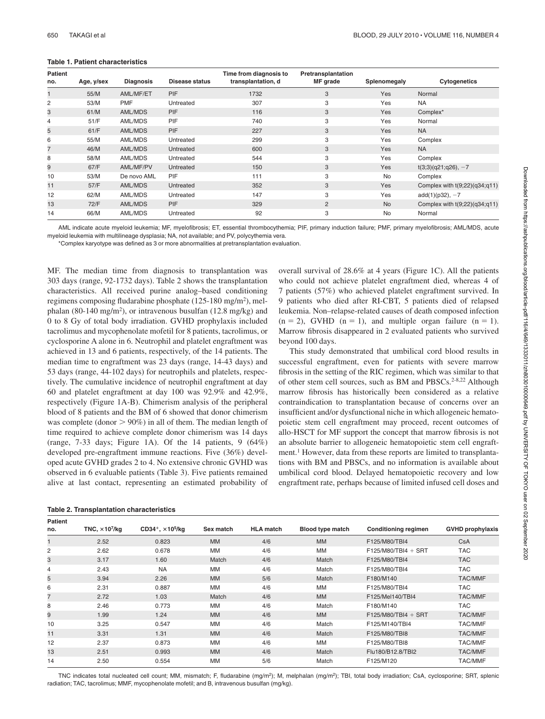#### **Table 1. Patient characteristics**

| <b>Patient</b><br>no. | Age, y/sex | <b>Diagnosis</b> | Disease status | Time from diagnosis to<br>transplantation, d | Pretransplantation<br>MF grade | Splenomegaly | <b>Cytogenetics</b>             |
|-----------------------|------------|------------------|----------------|----------------------------------------------|--------------------------------|--------------|---------------------------------|
|                       | 55/M       | AML/MF/ET        | <b>PIF</b>     | 1732                                         | 3                              | <b>Yes</b>   | Normal                          |
| 2                     | 53/M       | <b>PMF</b>       | Untreated      | 307                                          | 3                              | Yes          | <b>NA</b>                       |
| 3                     | 61/M       | AML/MDS          | <b>PIF</b>     | 116                                          | 3                              | <b>Yes</b>   | Complex*                        |
| 4                     | 51/F       | AML/MDS          | <b>PIF</b>     | 740                                          | 3                              | Yes          | Normal                          |
| 5                     | 61/F       | AML/MDS          | <b>PIF</b>     | 227                                          | 3                              | <b>Yes</b>   | <b>NA</b>                       |
| 6                     | 55/M       | AML/MDS          | Untreated      | 299                                          | 3                              | Yes          | Complex                         |
| 7                     | 46/M       | AML/MDS          | Untreated      | 600                                          | 3                              | Yes          | <b>NA</b>                       |
| 8                     | 58/M       | AML/MDS          | Untreated      | 544                                          | 3                              | Yes          | Complex                         |
| 9                     | 67/F       | AML/MF/PV        | Untreated      | 150                                          | 3                              | Yes          | $t(3;3)(q21;q26), -7$           |
| 10                    | 53/M       | De novo AML      | <b>PIF</b>     | 111                                          | 3                              | <b>No</b>    | Complex                         |
| 11                    | 57/F       | AML/MDS          | Untreated      | 352                                          | 3                              | Yes          | Complex with $t(9;22)(q34;q11)$ |
| 12                    | 62/M       | AML/MDS          | Untreated      | 147                                          | 3                              | Yes          | $add(1)(p32), -7$               |
| 13                    | 72/F       | AML/MDS          | <b>PIF</b>     | 329                                          | 2                              | <b>No</b>    | Complex with $t(9;22)(q34;q11)$ |
| 14                    | 66/M       | AML/MDS          | Untreated      | 92                                           | 3                              | <b>No</b>    | Normal                          |

AML indicate acute myeloid leukemia; MF, myelofibrosis; ET, essential thrombocythemia; PIF, primary induction failure; PMF, primary myelofibrosis; AML/MDS, acute myeloid leukemia with multilineage dysplasia; NA, not available; and PV, polycythemia vera.

\*Complex karyotype was defined as 3 or more abnormalities at pretransplantation evaluation.

MF. The median time from diagnosis to transplantation was 303 days (range, 92-1732 days). Table 2 shows the transplantation characteristics. All received purine analog–based conditioning regimens composing fludarabine phosphate (125-180 mg/m2), melphalan (80-140 mg/m<sup>2</sup>), or intravenous busulfan (12.8 mg/kg) and 0 to 8 Gy of total body irradiation. GVHD prophylaxis included tacrolimus and mycophenolate mofetil for 8 patients, tacrolimus, or cyclosporine A alone in 6. Neutrophil and platelet engraftment was achieved in 13 and 6 patients, respectively, of the 14 patients. The median time to engraftment was 23 days (range, 14-43 days) and 53 days (range, 44-102 days) for neutrophils and platelets, respectively. The cumulative incidence of neutrophil engraftment at day 60 and platelet engraftment at day 100 was 92.9% and 42.9%, respectively (Figure 1A-B). Chimerism analysis of the peripheral blood of 8 patients and the BM of 6 showed that donor chimerism was complete (donor  $> 90\%$ ) in all of them. The median length of time required to achieve complete donor chimerism was 14 days (range,  $7-33$  days; Figure 1A). Of the 14 patients,  $9(64\%)$ developed pre-engraftment immune reactions. Five (36%) developed acute GVHD grades 2 to 4. No extensive chronic GVHD was observed in 6 evaluable patients (Table 3). Five patients remained alive at last contact, representing an estimated probability of

|  | Table 2. Transplantation characteristics |  |  |
|--|------------------------------------------|--|--|
|--|------------------------------------------|--|--|

overall survival of 28.6% at 4 years (Figure 1C). All the patients who could not achieve platelet engraftment died, whereas 4 of 7 patients (57%) who achieved platelet engraftment survived. In 9 patients who died after RI-CBT, 5 patients died of relapsed leukemia. Non–relapse-related causes of death composed infection  $(n = 2)$ , GVHD  $(n = 1)$ , and multiple organ failure  $(n = 1)$ . Marrow fibrosis disappeared in 2 evaluated patients who survived beyond 100 days.

This study demonstrated that umbilical cord blood results in successful engraftment, even for patients with severe marrow fibrosis in the setting of the RIC regimen, which was similar to that of other stem cell sources, such as BM and PBSCs.<sup>2-8,22</sup> Although marrow fibrosis has historically been considered as a relative contraindication to transplantation because of concerns over an insufficient and/or dysfunctional niche in which allogeneic hematopoietic stem cell engraftment may proceed, recent outcomes of allo-HSCT for MF support the concept that marrow fibrosis is not an absolute barrier to allogeneic hematopoietic stem cell engraftment.1 However, data from these reports are limited to transplantations with BM and PBSCs, and no information is available about umbilical cord blood. Delayed hematopoietic recovery and low engraftment rate, perhaps because of limited infused cell doses and

| <b>Patient</b> |                                   |                                                  |           |                  |                         |                             |                         |  |
|----------------|-----------------------------------|--------------------------------------------------|-----------|------------------|-------------------------|-----------------------------|-------------------------|--|
| no.            | TNC, $\times$ 10 <sup>7</sup> /kg | CD34 <sup>+</sup> , $\times$ 10 <sup>5</sup> /kg | Sex match | <b>HLA</b> match | <b>Blood type match</b> | <b>Conditioning regimen</b> | <b>GVHD prophylaxis</b> |  |
|                | 2.52                              | 0.823                                            | <b>MM</b> | 4/6              | <b>MM</b>               | F125/M80/TBI4               | <b>CsA</b>              |  |
| 2              | 2.62                              | 0.678                                            | <b>MM</b> | 4/6              | MM                      | $F125/M80/TBI4 + SRT$       | <b>TAC</b>              |  |
| 3              | 3.17                              | 1.60                                             | Match     | 4/6              | Match                   | F125/M80/TBI4               | <b>TAC</b>              |  |
| 4              | 2.43                              | <b>NA</b>                                        | <b>MM</b> | 4/6              | Match                   | F125/M80/TBI4               | <b>TAC</b>              |  |
| 5              | 3.94                              | 2.26                                             | <b>MM</b> | 5/6              | Match                   | F180/M140                   | <b>TAC/MMF</b>          |  |
| 6              | 2.31                              | 0.887                                            | <b>MM</b> | 4/6              | MМ                      | F125/M80/TBI4               | <b>TAC</b>              |  |
| $\overline{7}$ | 2.72                              | 1.03                                             | Match     | 4/6              | <b>MM</b>               | F125/Mel140/TBI4            | <b>TAC/MMF</b>          |  |
| 8              | 2.46                              | 0.773                                            | <b>MM</b> | 4/6              | Match                   | F180/M140                   | <b>TAC</b>              |  |
| 9              | 1.99                              | 1.24                                             | <b>MM</b> | 4/6              | <b>MM</b>               | $F125/M80/TB14 + SRT$       | <b>TAC/MMF</b>          |  |
| 10             | 3.25                              | 0.547                                            | <b>MM</b> | 4/6              | Match                   | F125/M140/TBI4              | <b>TAC/MMF</b>          |  |
| 11             | 3.31                              | 1.31                                             | <b>MM</b> | 4/6              | Match                   | F125/M80/TBI8               | <b>TAC/MMF</b>          |  |
| 12             | 2.37                              | 0.873                                            | <b>MM</b> | 4/6              | MM                      | F125/M80/TBI8               | <b>TAC/MMF</b>          |  |
| 13             | 2.51                              | 0.993                                            | <b>MM</b> | 4/6              | Match                   | Flu180/B12.8/TBI2           | <b>TAC/MMF</b>          |  |
| 14             | 2.50                              | 0.554                                            | <b>MM</b> | 5/6              | Match                   | F125/M120                   | <b>TAC/MMF</b>          |  |

TNC indicates total nucleated cell count; MM, mismatch; F, fludarabine (mg/m<sup>2</sup>); M, melphalan (mg/m<sup>2</sup>); TBI, total body irradiation; CsA, cyclosporine; SRT, splenic radiation; TAC, tacrolimus; MMF, mycophenolate mofetil; and B, intravenous busulfan (mg/kg).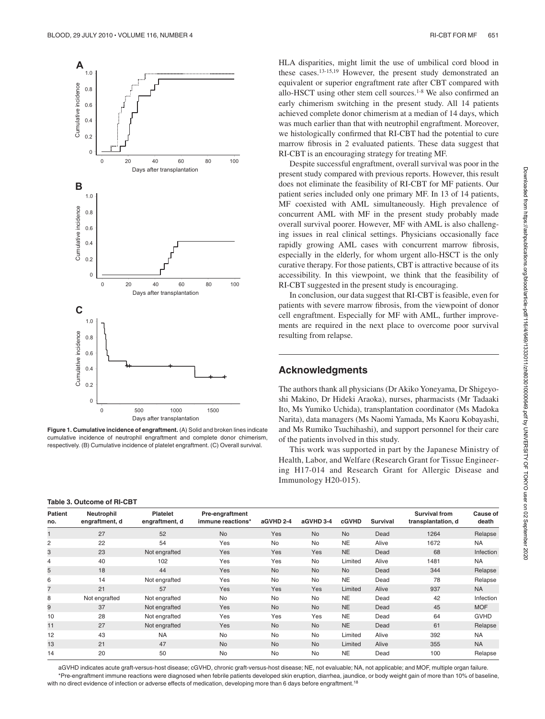

**Figure 1. Cumulative incidence of engraftment.** (A) Solid and broken lines indicate cumulative incidence of neutrophil engraftment and complete donor chimerism, respectively. (B) Cumulative incidence of platelet engraftment. (C) Overall survival.

**Table 3. Outcome of RI-CBT**

HLA disparities, might limit the use of umbilical cord blood in these cases.13-15,19 However, the present study demonstrated an equivalent or superior engraftment rate after CBT compared with allo-HSCT using other stem cell sources.1-8 We also confirmed an early chimerism switching in the present study. All 14 patients achieved complete donor chimerism at a median of 14 days, which was much earlier than that with neutrophil engraftment. Moreover, we histologically confirmed that RI-CBT had the potential to cure marrow fibrosis in 2 evaluated patients. These data suggest that RI-CBT is an encouraging strategy for treating MF.

Despite successful engraftment, overall survival was poor in the present study compared with previous reports. However, this result does not eliminate the feasibility of RI-CBT for MF patients. Our patient series included only one primary MF. In 13 of 14 patients, MF coexisted with AML simultaneously. High prevalence of concurrent AML with MF in the present study probably made overall survival poorer. However, MF with AML is also challenging issues in real clinical settings. Physicians occasionally face rapidly growing AML cases with concurrent marrow fibrosis, especially in the elderly, for whom urgent allo-HSCT is the only curative therapy. For those patients, CBT is attractive because of its accessibility. In this viewpoint, we think that the feasibility of RI-CBT suggested in the present study is encouraging.

In conclusion, our data suggest that RI-CBT is feasible, even for patients with severe marrow fibrosis, from the viewpoint of donor cell engraftment. Especially for MF with AML, further improvements are required in the next place to overcome poor survival resulting from relapse.

#### **Acknowledgments**

The authors thank all physicians (Dr Akiko Yoneyama, Dr Shigeyoshi Makino, Dr Hideki Araoka), nurses, pharmacists (Mr Tadaaki Ito, Ms Yumiko Uchida), transplantation coordinator (Ms Madoka Narita), data managers (Ms Naomi Yamada, Ms Kaoru Kobayashi, and Ms Rumiko Tsuchihashi), and support personnel for their care of the patients involved in this study.

This work was supported in part by the Japanese Ministry of Health, Labor, and Welfare (Research Grant for Tissue Engineering H17-014 and Research Grant for Allergic Disease and Immunology H20-015).

| <b>Patient</b><br>no. | Neutrophil<br>engraftment, d | <b>Platelet</b><br>engraftment, d | Pre-engraftment<br>immune reactions* | aGVHD 2-4 | aGVHD 3-4 | cGVHD     | Survival | <b>Survival from</b><br>transplantation, d | Cause of<br>death |
|-----------------------|------------------------------|-----------------------------------|--------------------------------------|-----------|-----------|-----------|----------|--------------------------------------------|-------------------|
|                       | 27                           | 52                                | <b>No</b>                            | Yes       | <b>No</b> | <b>No</b> | Dead     | 1264                                       | Relapse           |
| 2                     | 22                           | 54                                | Yes                                  | <b>No</b> | No        | <b>NE</b> | Alive    | 1672                                       | <b>NA</b>         |
| 3                     | 23                           | Not engrafted                     | Yes                                  | Yes       | Yes       | <b>NE</b> | Dead     | 68                                         | Infection         |
| 4                     | 40                           | 102                               | Yes                                  | Yes       | No        | Limited   | Alive    | 1481                                       | <b>NA</b>         |
| 5                     | 18                           | 44                                | Yes                                  | <b>No</b> | <b>No</b> | <b>No</b> | Dead     | 344                                        | Relapse           |
| 6                     | 14                           | Not engrafted                     | Yes                                  | <b>No</b> | No        | <b>NE</b> | Dead     | 78                                         | Relapse           |
| 7                     | 21                           | 57                                | Yes                                  | Yes       | Yes       | Limited   | Alive    | 937                                        | <b>NA</b>         |
| 8                     | Not engrafted                | Not engrafted                     | <b>No</b>                            | No        | No        | <b>NE</b> | Dead     | 42                                         | Infection         |
| 9                     | 37                           | Not engrafted                     | Yes                                  | <b>No</b> | <b>No</b> | <b>NE</b> | Dead     | 45                                         | <b>MOF</b>        |
| 10                    | 28                           | Not engrafted                     | Yes                                  | Yes       | Yes       | <b>NE</b> | Dead     | 64                                         | <b>GVHD</b>       |
| 11                    | 27                           | Not engrafted                     | Yes                                  | <b>No</b> | <b>No</b> | <b>NE</b> | Dead     | 61                                         | Relapse           |
| 12                    | 43                           | <b>NA</b>                         | <b>No</b>                            | <b>No</b> | No        | Limited   | Alive    | 392                                        | <b>NA</b>         |
| 13                    | 21                           | 47                                | <b>No</b>                            | <b>No</b> | <b>No</b> | Limited   | Alive    | 355                                        | <b>NA</b>         |
| 14                    | 20                           | 50                                | <b>No</b>                            | No        | No        | <b>NE</b> | Dead     | 100                                        | Relapse           |

aGVHD indicates acute graft-versus-host disease; cGVHD, chronic graft-versus-host disease; NE, not evaluable; NA, not applicable; and MOF, multiple organ failure. \*Pre-engraftment immune reactions were diagnosed when febrile patients developed skin eruption, diarrhea, jaundice, or body weight gain of more than 10% of baseline, with no direct evidence of infection or adverse effects